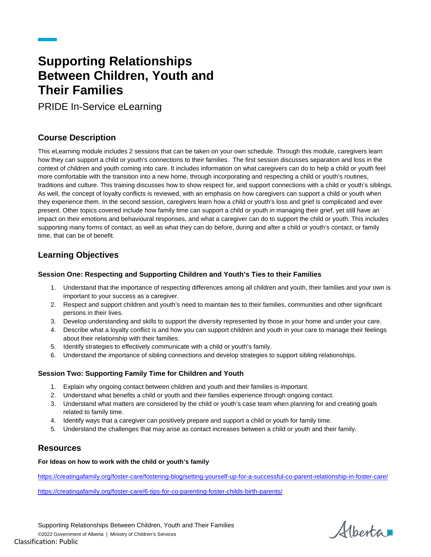# **Supporting Relationships Between Children, Youth and Their Families**

PRIDE In-Service eLearning

# **Course Description**

This eLearning module includes 2 sessions that can be taken on your own schedule. Through this module, caregivers learn how they can support a child or youth's connections to their families. The first session discusses separation and loss in the context of children and youth coming into care. It includes information on what caregivers can do to help a child or youth feel more comfortable with the transition into a new home, through incorporating and respecting a child or youth's routines, traditions and culture. This training discusses how to show respect for, and support connections with a child or youth's siblings. As well, the concept of loyalty conflicts is reviewed, with an emphasis on how caregivers can support a child or youth when they experience them. In the second session, caregivers learn how a child or youth's loss and grief is complicated and ever present. Other topics covered include how family time can support a child or youth in managing their grief, yet still have an impact on their emotions and behavioural responses, and what a caregiver can do to support the child or youth. This includes supporting many forms of contact, as well as what they can do before, during and after a child or youth's contact, or family time, that can be of benefit.

# **Learning Objectives**

## **Session One: Respecting and Supporting Children and Youth's Ties to their Families**

- 1. Understand that the importance of respecting differences among all children and youth, their families and your own is important to your success as a caregiver.
- 2. Respect and support children and youth's need to maintain ties to their families, communities and other significant persons in their lives.
- 3. Develop understanding and skills to support the diversity represented by those in your home and under your care.
- 4. Describe what a loyalty conflict is and how you can support children and youth in your care to manage their feelings about their relationship with their families.
- 5. Identify strategies to effectively communicate with a child or youth's family.
- 6. Understand the importance of sibling connections and develop strategies to support sibling relationships.

## **Session Two: Supporting Family Time for Children and Youth**

- 1. Explain why ongoing contact between children and youth and their families is important.
- 2. Understand what benefits a child or youth and their families experience through ongoing contact.
- 3. Understand what matters are considered by the child or youth's case team when planning for and creating goals related to family time.
- 4. Identify ways that a caregiver can positively prepare and support a child or youth for family time.
- 5. Understand the challenges that may arise as contact increases between a child or youth and their family.

# **Resources**

## **For Ideas on how to work with the child or youth's family**

<https://creatingafamily.org/foster-care/fostering-blog/setting-yourself-up-for-a-successful-co-parent-relationship-in-foster-care/>

<https://creatingafamily.org/foster-care/6-tips-for-co-parenting-foster-childs-birth-parents/>

Alberta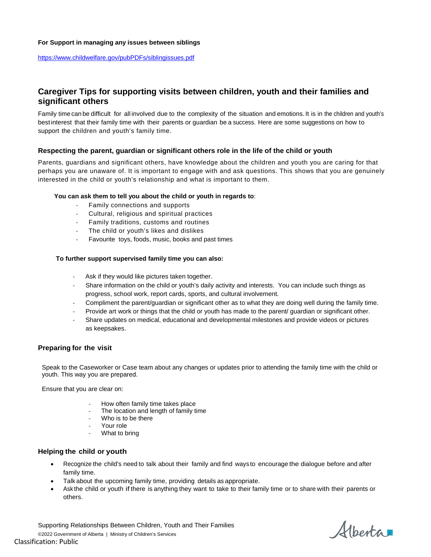#### **For Support in managing any issues between siblings**

<https://www.childwelfare.gov/pubPDFs/siblingissues.pdf>

## **Caregiver Tips for supporting visits between children, youth and their families and significant others**

Family time canbe difficult for all involved due to the complexity of the situation and emotions. It is in the children and youth's best interest that their family time with their parents or guardian be a success. Here are some suggestions on how to support the children and youth's family time.

## **Respecting the parent, guardian or significant others role in the life of the child or youth**

Parents, guardians and significant others, have knowledge about the children and youth you are caring for that perhaps you are unaware of. It is important to engage with and ask questions. This shows that you are genuinely interested in the child or youth's relationship and what is important to them.

#### **You can ask them to tell you about the child or youth in regards to**:

- Family connections and supports
- Cultural, religious and spiritual practices
- Family traditions, customs and routines
- The child or youth's likes and dislikes
- Favourite toys, foods, music, books and past times

#### **To further support supervised family time you can also:**

- Ask if they would like pictures taken together.
- Share information on the child or youth's daily activity and interests. You can include such things as progress, school work, report cards, sports, and cultural involvement.
- Compliment the parent/guardian or significant other as to what they are doing well during the family time.
- Provide art work or things that the child or youth has made to the parent/ guardian or significant other.
- Share updates on medical, educational and developmental milestones and provide videos or pictures as keepsakes.

## **Preparing for the visit**

Speak to the Caseworker or Case team about any changes or updates prior to attending the family time with the child or youth. This way you are prepared.

Ensure that you are clear on:

- How often family time takes place
- The location and length of family time
- Who is to be there
- Your role
- What to bring

## **Helping the child or youth**

- Recognize the child's need to talk about their family and find ways to encourage the dialogue before and after family time.
- Talk about the upcoming family time, providing details as appropriate.
- Ask the child or youth if there is anything they want to take to their family time or to share with their parents or others.

Albertar